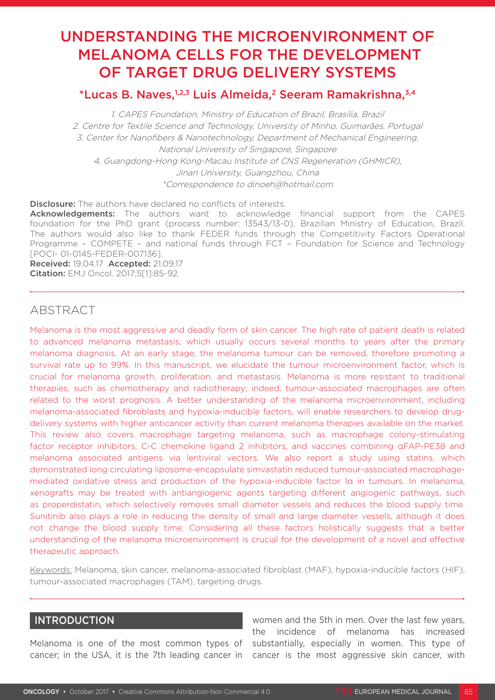# UNDERSTANDING THE MICROENVIRONMENT OF MELANOMA CELLS FOR THE DEVELOPMENT OF TARGET DRUG DELIVERY SYSTEMS

# \*Lucas B. Naves,1,2,3 Luis Almeida,2 Seeram Ramakrishna,3,4

1. CAPES Foundation, Ministry of Education of Brazil, Brasília, Brazil 2. Centre for Textile Science and Technology, University of Minho, Guimarães, Portugal 3. Center for Nanofibers & Nanotechnology, Department of Mechanical Engineering, National University of Singapore, Singapore 4. Guangdong-Hong Kong-Macau Institute of CNS Regeneration (GHMICR), Jinan University, Guangzhou, China \*Correspondence to dinoeh@hotmail.com

Disclosure: The authors have declared no conflicts of interests.

Acknowledgements: The authors want to acknowledge financial support from the CAPES foundation for the PhD grant (process number: 13543/13-0), Brazilian Ministry of Education, Brazil. The authors would also like to thank FEDER funds through the Competitivity Factors Operational Programme – COMPETE – and national funds through FCT – Foundation for Science and Technology [POCI- 01-0145-FEDER-007136].

Received: 19.04.17 Accepted: 21.09.17 Citation: EMJ Oncol. 2017;5[1]:85-92.

# ABSTRACT

Melanoma is the most aggressive and deadly form of skin cancer. The high rate of patient death is related to advanced melanoma metastasis, which usually occurs several months to years after the primary melanoma diagnosis. At an early stage, the melanoma tumour can be removed, therefore promoting a survival rate up to 99%. In this manuscript, we elucidate the tumour microenvironment factor, which is crucial for melanoma growth, proliferation, and metastasis. Melanoma is more resistant to traditional therapies, such as chemotherapy and radiotherapy; indeed, tumour-associated macrophages are often related to the worst prognosis. A better understanding of the melanoma microenvironment, including melanoma-associated fibroblasts and hypoxia-inducible factors, will enable researchers to develop drugdelivery systems with higher anticancer activity than current melanoma therapies available on the market. This review also covers macrophage targeting melanoma, such as macrophage colony-stimulating factor receptor inhibitors, C-C chemokine ligand 2 inhibitors, and vaccines combining αFAP-PE38 and melanoma associated antigens via lentiviral vectors. We also report a study using statins, which demonstrated long circulating liposome-encapsulate simvastatin reduced tumour-associated macrophagemediated oxidative stress and production of the hypoxia-inducible factor 1α in tumours. In melanoma, xenografts may be treated with antiangiogenic agents targeting different angiogenic pathways, such as properdistatin, which selectively removes small diameter vessels and reduces the blood supply time. Sunitinib also plays a role in reducing the density of small and large diameter vessels, although it does not change the blood supply time. Considering all these factors holistically suggests that a better understanding of the melanoma microenvironment is crucial for the development of a novel and effective therapeutic approach.

Keywords: Melanoma, skin cancer, melanoma-associated fibroblast (MAF), hypoxia-inducible factors (HIF), tumour-associated macrophages (TAM), targeting drugs.

## INTRODUCTION

Melanoma is one of the most common types of substantially, especially in women. This type of cancer; in the USA, it is the 7th leading cancer in cancer is the most aggressive skin cancer, with women and the 5th in men. Over the last few years, the incidence of melanoma has increased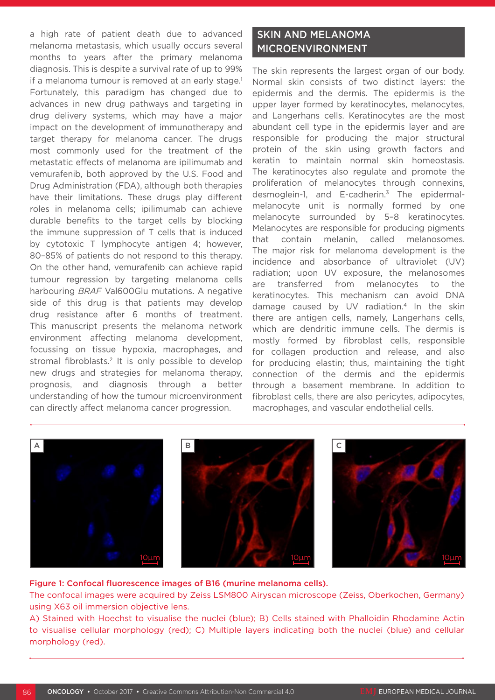a high rate of patient death due to advanced melanoma metastasis, which usually occurs several months to years after the primary melanoma diagnosis. This is despite a survival rate of up to 99% if a melanoma tumour is removed at an early stage.<sup>1</sup> Fortunately, this paradigm has changed due to advances in new drug pathways and targeting in drug delivery systems, which may have a major impact on the development of immunotherapy and target therapy for melanoma cancer. The drugs most commonly used for the treatment of the metastatic effects of melanoma are ipilimumab and vemurafenib, both approved by the U.S. Food and Drug Administration (FDA), although both therapies have their limitations. These drugs play different roles in melanoma cells; ipilimumab can achieve durable benefits to the target cells by blocking the immune suppression of T cells that is induced by cytotoxic T lymphocyte antigen 4; however, 80–85% of patients do not respond to this therapy. On the other hand, vemurafenib can achieve rapid tumour regression by targeting melanoma cells harbouring *BRAF* Val600Glu mutations. A negative side of this drug is that patients may develop drug resistance after 6 months of treatment. This manuscript presents the melanoma network environment affecting melanoma development, focussing on tissue hypoxia, macrophages, and stromal fibroblasts.<sup>2</sup> It is only possible to develop new drugs and strategies for melanoma therapy, prognosis, and diagnosis through a better understanding of how the tumour microenvironment can directly affect melanoma cancer progression.

# SKIN AND MELANOMA MICROENVIRONMENT

The skin represents the largest organ of our body. Normal skin consists of two distinct layers: the epidermis and the dermis. The epidermis is the upper layer formed by keratinocytes, melanocytes, and Langerhans cells. Keratinocytes are the most abundant cell type in the epidermis layer and are responsible for producing the major structural protein of the skin using growth factors and keratin to maintain normal skin homeostasis. The keratinocytes also regulate and promote the proliferation of melanocytes through connexins, desmoglein-1, and E-cadherin.3 The epidermalmelanocyte unit is normally formed by one melanocyte surrounded by 5–8 keratinocytes. Melanocytes are responsible for producing pigments that contain melanin, called melanosomes. The major risk for melanoma development is the incidence and absorbance of ultraviolet (UV) radiation; upon UV exposure, the melanosomes are transferred from melanocytes to the keratinocytes. This mechanism can avoid DNA damage caused by UV radiation.4 In the skin there are antigen cells, namely, Langerhans cells, which are dendritic immune cells. The dermis is mostly formed by fibroblast cells, responsible for collagen production and release, and also for producing elastin; thus, maintaining the tight connection of the dermis and the epidermis through a basement membrane. In addition to fibroblast cells, there are also pericytes, adipocytes, macrophages, and vascular endothelial cells.



#### Figure 1: Confocal fluorescence images of B16 (murine melanoma cells).

The confocal images were acquired by Zeiss LSM800 Airyscan microscope (Zeiss, Oberkochen, Germany) using X63 oil immersion objective lens.

A) Stained with Hoechst to visualise the nuclei (blue); B) Cells stained with Phalloidin Rhodamine Actin to visualise cellular morphology (red); C) Multiple layers indicating both the nuclei (blue) and cellular morphology (red).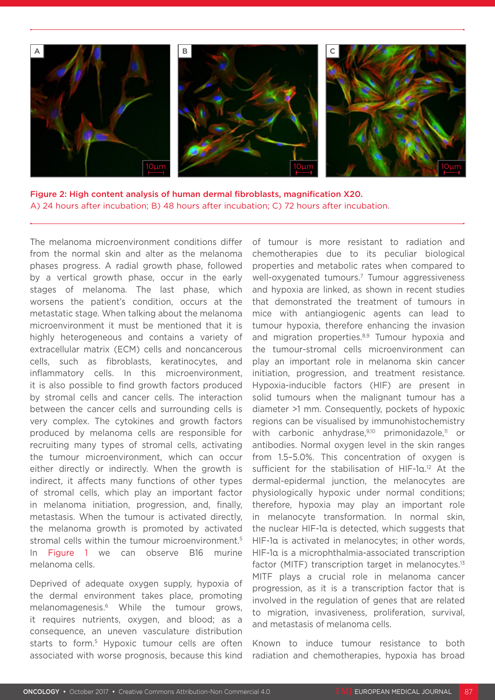

Figure 2: High content analysis of human dermal fibroblasts, magnification X20. A) 24 hours after incubation; B) 48 hours after incubation; C) 72 hours after incubation.

The melanoma microenvironment conditions differ from the normal skin and alter as the melanoma phases progress. A radial growth phase, followed by a vertical growth phase, occur in the early stages of melanoma. The last phase, which worsens the patient's condition, occurs at the metastatic stage. When talking about the melanoma microenvironment it must be mentioned that it is highly heterogeneous and contains a variety of extracellular matrix (ECM) cells and noncancerous cells, such as fibroblasts, keratinocytes, and inflammatory cells. In this microenvironment, it is also possible to find growth factors produced by stromal cells and cancer cells. The interaction between the cancer cells and surrounding cells is very complex. The cytokines and growth factors produced by melanoma cells are responsible for recruiting many types of stromal cells, activating the tumour microenvironment, which can occur either directly or indirectly. When the growth is indirect, it affects many functions of other types of stromal cells, which play an important factor in melanoma initiation, progression, and, finally, metastasis. When the tumour is activated directly, the melanoma growth is promoted by activated stromal cells within the tumour microenvironment.<sup>5</sup> In Figure 1 we can observe B16 murine melanoma cells.

Deprived of adequate oxygen supply, hypoxia of the dermal environment takes place, promoting melanomagenesis.6 While the tumour grows, it requires nutrients, oxygen, and blood; as a consequence, an uneven vasculature distribution starts to form.<sup>5</sup> Hypoxic tumour cells are often associated with worse prognosis, because this kind

of tumour is more resistant to radiation and chemotherapies due to its peculiar biological properties and metabolic rates when compared to well-oxygenated tumours.7 Tumour aggressiveness and hypoxia are linked, as shown in recent studies that demonstrated the treatment of tumours in mice with antiangiogenic agents can lead to tumour hypoxia, therefore enhancing the invasion and migration properties.<sup>8,9</sup> Tumour hypoxia and the tumour-stromal cells microenvironment can play an important role in melanoma skin cancer initiation, progression, and treatment resistance. Hypoxia-inducible factors (HIF) are present in solid tumours when the malignant tumour has a diameter >1 mm. Consequently, pockets of hypoxic regions can be visualised by immunohistochemistry with carbonic anhydrase,<sup>9,10</sup> primonidazole,<sup>11</sup> or antibodies. Normal oxygen level in the skin ranges from 1.5-5.0%. This concentration of oxygen is sufficient for the stabilisation of HIF-1α.12 At the dermal-epidermal junction, the melanocytes are physiologically hypoxic under normal conditions; therefore, hypoxia may play an important role in melanocyte transformation. In normal skin, the nuclear HIF-1α is detected, which suggests that HIF-1α is activated in melanocytes; in other words, HIF-1α is a microphthalmia-associated transcription factor (MITF) transcription target in melanocytes. $13$ MITF plays a crucial role in melanoma cancer progression, as it is a transcription factor that is involved in the regulation of genes that are related to migration, invasiveness, proliferation, survival, and metastasis of melanoma cells.

Known to induce tumour resistance to both radiation and chemotherapies, hypoxia has broad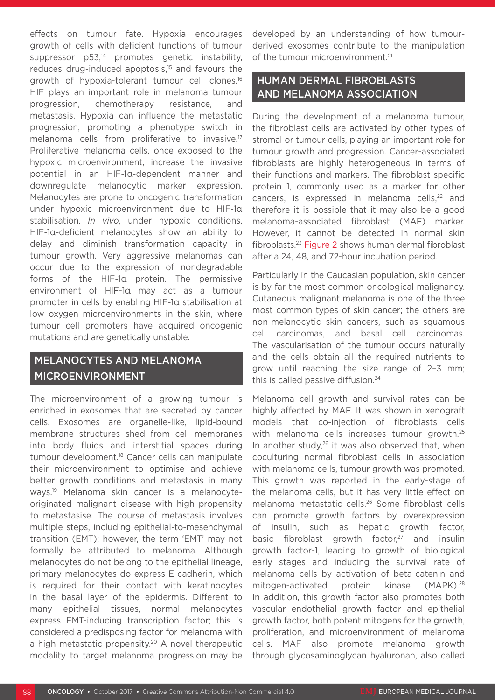effects on tumour fate. Hypoxia encourages growth of cells with deficient functions of tumour suppressor p53,<sup>14</sup> promotes genetic instability, reduces drug-induced apoptosis,<sup>15</sup> and favours the growth of hypoxia-tolerant tumour cell clones.<sup>16</sup> HIF plays an important role in melanoma tumour progression, chemotherapy resistance, and metastasis. Hypoxia can influence the metastatic progression, promoting a phenotype switch in melanoma cells from proliferative to invasive.17 Proliferative melanoma cells, once exposed to the hypoxic microenvironment, increase the invasive potential in an HIF-1α-dependent manner and downregulate melanocytic marker expression. Melanocytes are prone to oncogenic transformation under hypoxic microenvironment due to HIF-1α stabilisation. *In vivo*, under hypoxic conditions, HIF-1α-deficient melanocytes show an ability to delay and diminish transformation capacity in tumour growth. Very aggressive melanomas can occur due to the expression of nondegradable forms of the HIF-1α protein. The permissive environment of HIF-1α may act as a tumour promoter in cells by enabling HIF-1α stabilisation at low oxygen microenvironments in the skin, where tumour cell promoters have acquired oncogenic mutations and are genetically unstable.

# MELANOCYTES AND MELANOMA MICROENVIRONMENT

The microenvironment of a growing tumour is enriched in exosomes that are secreted by cancer cells. Exosomes are organelle-like, lipid-bound membrane structures shed from cell membranes into body fluids and interstitial spaces during tumour development.18 Cancer cells can manipulate their microenvironment to optimise and achieve better growth conditions and metastasis in many ways.19 Melanoma skin cancer is a melanocyteoriginated malignant disease with high propensity to metastasise. The course of metastasis involves multiple steps, including epithelial-to-mesenchymal transition (EMT); however, the term 'EMT' may not formally be attributed to melanoma. Although melanocytes do not belong to the epithelial lineage, primary melanocytes do express E-cadherin, which is required for their contact with keratinocytes in the basal layer of the epidermis. Different to many epithelial tissues, normal melanocytes express EMT-inducing transcription factor; this is considered a predisposing factor for melanoma with a high metastatic propensity.<sup>20</sup> A novel therapeutic modality to target melanoma progression may be

developed by an understanding of how tumourderived exosomes contribute to the manipulation of the tumour microenvironment.<sup>21</sup>

## HUMAN DERMAL FIBROBLASTS AND MELANOMA ASSOCIATION

During the development of a melanoma tumour, the fibroblast cells are activated by other types of stromal or tumour cells, playing an important role for tumour growth and progression. Cancer-associated fibroblasts are highly heterogeneous in terms of their functions and markers. The fibroblast-specific protein 1, commonly used as a marker for other cancers, is expressed in melanoma cells,22 and therefore it is possible that it may also be a good melanoma-associated fibroblast (MAF) marker. However, it cannot be detected in normal skin fibroblasts.23 Figure 2 shows human dermal fibroblast after a 24, 48, and 72-hour incubation period.

Particularly in the Caucasian population, skin cancer is by far the most common oncological malignancy. Cutaneous malignant melanoma is one of the three most common types of skin cancer; the others are non-melanocytic skin cancers, such as squamous cell carcinomas, and basal cell carcinomas. The vascularisation of the tumour occurs naturally and the cells obtain all the required nutrients to grow until reaching the size range of 2–3 mm; this is called passive diffusion.<sup>24</sup>

Melanoma cell growth and survival rates can be highly affected by MAF. It was shown in xenograft models that co-injection of fibroblasts cells with melanoma cells increases tumour growth.<sup>25</sup> In another study, $26$  it was also observed that, when coculturing normal fibroblast cells in association with melanoma cells, tumour growth was promoted. This growth was reported in the early-stage of the melanoma cells, but it has very little effect on melanoma metastatic cells.26 Some fibroblast cells can promote growth factors by overexpression of insulin, such as hepatic growth factor, basic fibroblast growth factor,<sup>27</sup> and insulin growth factor-1, leading to growth of biological early stages and inducing the survival rate of melanoma cells by activation of beta-catenin and mitogen-activated protein kinase (MAPK).28 In addition, this growth factor also promotes both vascular endothelial growth factor and epithelial growth factor, both potent mitogens for the growth, proliferation, and microenvironment of melanoma cells. MAF also promote melanoma growth through glycosaminoglycan hyaluronan, also called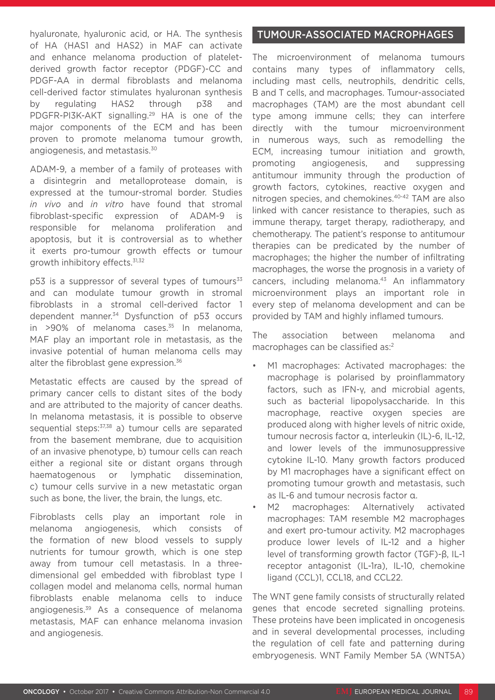hyaluronate, hyaluronic acid, or HA. The synthesis of HA (HAS1 and HAS2) in MAF can activate and enhance melanoma production of plateletderived growth factor receptor (PDGF)-CC and PDGF-AA in dermal fibroblasts and melanoma cell-derived factor stimulates hyaluronan synthesis by regulating HAS2 through p38 and PDGFR-PI3K-AKT signalling.29 HA is one of the major components of the ECM and has been proven to promote melanoma tumour growth, angiogenesis, and metastasis.30

ADAM-9, a member of a family of proteases with a disintegrin and metalloprotease domain, is expressed at the tumour-stromal border. Studies *in vivo* and *in vitro* have found that stromal fibroblast-specific expression of ADAM-9 is responsible for melanoma proliferation and apoptosis, but it is controversial as to whether it exerts pro-tumour growth effects or tumour growth inhibitory effects.31,32

 $p53$  is a suppressor of several types of tumours<sup>33</sup> and can modulate tumour growth in stromal fibroblasts in a stromal cell-derived factor 1 dependent manner.34 Dysfunction of p53 occurs in  $>90\%$  of melanoma cases.<sup>35</sup> In melanoma, MAF play an important role in metastasis, as the invasive potential of human melanoma cells may alter the fibroblast gene expression.<sup>36</sup>

Metastatic effects are caused by the spread of primary cancer cells to distant sites of the body and are attributed to the majority of cancer deaths. In melanoma metastasis, it is possible to observe sequential steps: 37,38 a) tumour cells are separated from the basement membrane, due to acquisition of an invasive phenotype, b) tumour cells can reach either a regional site or distant organs through haematogenous or lymphatic dissemination, c) tumour cells survive in a new metastatic organ such as bone, the liver, the brain, the lungs, etc.

Fibroblasts cells play an important role in melanoma angiogenesis, which consists of the formation of new blood vessels to supply nutrients for tumour growth, which is one step away from tumour cell metastasis. In a threedimensional gel embedded with fibroblast type I collagen model and melanoma cells, normal human fibroblasts enable melanoma cells to induce angiogenesis.39 As a consequence of melanoma metastasis, MAF can enhance melanoma invasion and angiogenesis.

## TUMOUR-ASSOCIATED MACROPHAGES

The microenvironment of melanoma tumours contains many types of inflammatory cells, including mast cells, neutrophils, dendritic cells, B and T cells, and macrophages. Tumour-associated macrophages (TAM) are the most abundant cell type among immune cells; they can interfere directly with the tumour microenvironment in numerous ways, such as remodelling the ECM, increasing tumour initiation and growth, promoting angiogenesis, and suppressing antitumour immunity through the production of growth factors, cytokines, reactive oxygen and nitrogen species, and chemokines.40-42 TAM are also linked with cancer resistance to therapies, such as immune therapy, target therapy, radiotherapy, and chemotherapy. The patient's response to antitumour therapies can be predicated by the number of macrophages; the higher the number of infiltrating macrophages, the worse the prognosis in a variety of cancers, including melanoma. $43$  An inflammatory microenvironment plays an important role in every step of melanoma development and can be provided by TAM and highly inflamed tumours.

The association between melanoma and macrophages can be classified as:2

- M1 macrophages: Activated macrophages: the macrophage is polarised by proinflammatory factors, such as IFN-γ, and microbial agents, such as bacterial lipopolysaccharide. In this macrophage, reactive oxygen species are produced along with higher levels of nitric oxide, tumour necrosis factor α, interleukin (IL)-6, IL-12, and lower levels of the immunosuppressive cytokine IL-10. Many growth factors produced by M1 macrophages have a significant effect on promoting tumour growth and metastasis, such as IL-6 and tumour necrosis factor α.
- M2 macrophages: Alternatively activated macrophages: TAM resemble M2 macrophages and exert pro-tumour activity. M2 macrophages produce lower levels of IL-12 and a higher level of transforming growth factor (TGF)-β, IL-1 receptor antagonist (IL-1ra), IL-10, chemokine ligand (CCL)1, CCL18, and CCL22.

The WNT gene family consists of structurally related genes that encode secreted signalling proteins. These proteins have been implicated in oncogenesis and in several developmental processes, including the regulation of cell fate and patterning during embryogenesis. WNT Family Member 5A (WNT5A)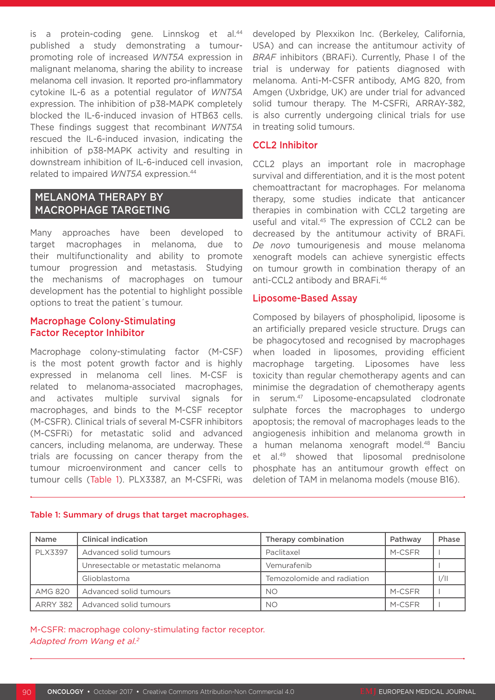is a protein-coding gene. Linnskog et al.<sup>44</sup> published a study demonstrating a tumourpromoting role of increased *WNT5A* expression in malignant melanoma, sharing the ability to increase melanoma cell invasion. It reported pro-inflammatory cytokine IL-6 as a potential regulator of *WNT5A* expression. The inhibition of p38-MAPK completely blocked the IL-6-induced invasion of HTB63 cells. These findings suggest that recombinant *WNT5A* rescued the IL-6-induced invasion, indicating the inhibition of p38-MAPK activity and resulting in downstream inhibition of IL-6-induced cell invasion, related to impaired *WNT5A* expression.44

## MELANOMA THERAPY BY MACROPHAGE TARGETING

Many approaches have been developed to target macrophages in melanoma, due to their multifunctionality and ability to promote tumour progression and metastasis. Studying the mechanisms of macrophages on tumour development has the potential to highlight possible options to treat the patient´s tumour.

## Macrophage Colony-Stimulating Factor Receptor Inhibitor

Macrophage colony-stimulating factor (M-CSF) is the most potent growth factor and is highly expressed in melanoma cell lines. M-CSF is related to melanoma-associated macrophages, and activates multiple survival signals for macrophages, and binds to the M-CSF receptor (M-CSFR). Clinical trials of several M-CSFR inhibitors (M-CSFRi) for metastatic solid and advanced cancers, including melanoma, are underway. These trials are focussing on cancer therapy from the tumour microenvironment and cancer cells to tumour cells (Table 1). PLX3387, an M-CSFRi, was developed by Plexxikon Inc. (Berkeley, California, USA) and can increase the antitumour activity of *BRAF* inhibitors (BRAFi). Currently, Phase I of the trial is underway for patients diagnosed with melanoma. Anti-M-CSFR antibody, AMG 820, from Amgen (Uxbridge, UK) are under trial for advanced solid tumour therapy. The M-CSFRi, ARRAY-382, is also currently undergoing clinical trials for use in treating solid tumours.

## CCL<sub>2</sub> Inhibitor

CCL2 plays an important role in macrophage survival and differentiation, and it is the most potent chemoattractant for macrophages. For melanoma therapy, some studies indicate that anticancer therapies in combination with CCL2 targeting are useful and vital.45 The expression of CCL2 can be decreased by the antitumour activity of BRAFi. *De novo* tumourigenesis and mouse melanoma xenograft models can achieve synergistic effects on tumour growth in combination therapy of an anti-CCL2 antibody and BRAFi.46

## Liposome-Based Assay

Composed by bilayers of phospholipid, liposome is an artificially prepared vesicle structure. Drugs can be phagocytosed and recognised by macrophages when loaded in liposomes, providing efficient macrophage targeting. Liposomes have less toxicity than regular chemotherapy agents and can minimise the degradation of chemotherapy agents in serum.47 Liposome-encapsulated clodronate sulphate forces the macrophages to undergo apoptosis; the removal of macrophages leads to the angiogenesis inhibition and melanoma growth in a human melanoma xenograft model.<sup>48</sup> Banciu et al.49 showed that liposomal prednisolone phosphate has an antitumour growth effect on deletion of TAM in melanoma models (mouse B16).

| <b>Name</b>    | <b>Clinical indication</b>          | Therapy combination        | Pathway | Phase |
|----------------|-------------------------------------|----------------------------|---------|-------|
| <b>PLX3397</b> | Advanced solid tumours              | Paclitaxel                 | M-CSFR  |       |
|                | Unresectable or metastatic melanoma | Vemurafenib                |         |       |
|                | Glioblastoma                        | Temozolomide and radiation |         | 1/11  |
| <b>AMG 820</b> | Advanced solid tumours              | <b>NO</b>                  | M-CSFR  |       |
|                | ARRY 382   Advanced solid tumours   | <b>NO</b>                  | M-CSFR  |       |

#### Table 1: Summary of drugs that target macrophages.

M-CSFR: macrophage colony-stimulating factor receptor. *Adapted from Wang et al.2*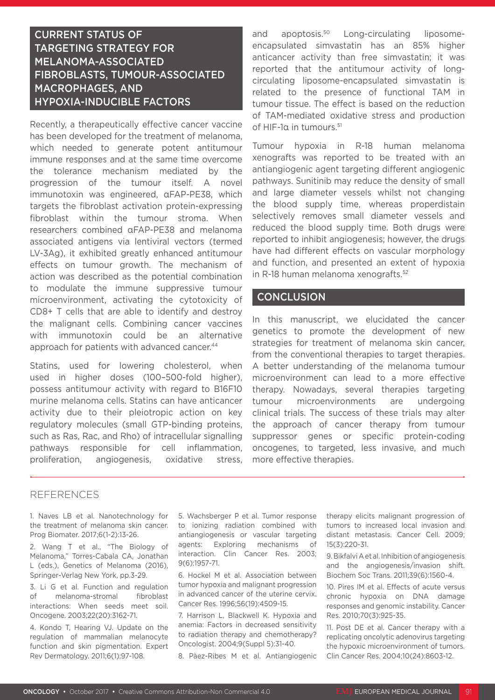# CURRENT STATUS OF TARGETING STRATEGY FOR MELANOMA-ASSOCIATED FIBROBLASTS, TUMOUR-ASSOCIATED MACROPHAGES, AND HYPOXIA-INDUCIBLE FACTORS

Recently, a therapeutically effective cancer vaccine has been developed for the treatment of melanoma, which needed to generate potent antitumour immune responses and at the same time overcome the tolerance mechanism mediated by the progression of the tumour itself. A novel immunotoxin was engineered, αFAP-PE38, which targets the fibroblast activation protein-expressing fibroblast within the tumour stroma. When researchers combined αFAP-PE38 and melanoma associated antigens via lentiviral vectors (termed LV-3Ag), it exhibited greatly enhanced antitumour effects on tumour growth. The mechanism of action was described as the potential combination to modulate the immune suppressive tumour microenvironment, activating the cytotoxicity of CD8+ T cells that are able to identify and destroy the malignant cells. Combining cancer vaccines with immunotoxin could be an alternative approach for patients with advanced cancer.<sup>44</sup>

Statins, used for lowering cholesterol, when used in higher doses (100–500-fold higher), possess antitumour activity with regard to B16F10 murine melanoma cells. Statins can have anticancer activity due to their pleiotropic action on key regulatory molecules (small GTP-binding proteins, such as Ras, Rac, and Rho) of intracellular signalling pathways responsible for cell inflammation, proliferation, angiogenesis, oxidative stress, and apoptosis.<sup>50</sup> Long-circulating liposomeencapsulated simvastatin has an 85% higher anticancer activity than free simvastatin; it was reported that the antitumour activity of longcirculating liposome-encapsulated simvastatin is related to the presence of functional TAM in tumour tissue. The effect is based on the reduction of TAM-mediated oxidative stress and production of HIF-1α in tumours.51

Tumour hypoxia in R-18 human melanoma xenografts was reported to be treated with an antiangiogenic agent targeting different angiogenic pathways. Sunitinib may reduce the density of small and large diameter vessels whilst not changing the blood supply time, whereas properdistain selectively removes small diameter vessels and reduced the blood supply time. Both drugs were reported to inhibit angiogenesis; however, the drugs have had different effects on vascular morphology and function, and presented an extent of hypoxia in R-18 human melanoma xenografts.52

## **CONCLUSION**

In this manuscript, we elucidated the cancer genetics to promote the development of new strategies for treatment of melanoma skin cancer, from the conventional therapies to target therapies. A better understanding of the melanoma tumour microenvironment can lead to a more effective therapy. Nowadays, several therapies targeting tumour microenvironments are undergoing clinical trials. The success of these trials may alter the approach of cancer therapy from tumour suppressor genes or specific protein-coding oncogenes, to targeted, less invasive, and much more effective therapies.

#### REFERENCES

1. Naves LB et al. Nanotechnology for the treatment of melanoma skin cancer. Prog Biomater. 2017;6(1-2):13-26.

2. Wang T et al., "The Biology of Melanoma," Torres-Cabala CA, Jonathan L (eds.), Genetics of Melanoma (2016), Springer-Verlag New York, pp.3-29.

3. Li G et al. Function and regulation of melanoma-stromal fibroblast interactions: When seeds meet soil. Oncogene. 2003;22(20):3162-71.

4. Kondo T, Hearing VJ. Update on the regulation of mammalian melanocyte function and skin pigmentation. Expert Rev Dermatology. 2011;6(1):97-108.

5. Wachsberger P et al. Tumor response to ionizing radiation combined with antiangiogenesis or vascular targeting agents: Exploring mechanisms of interaction. Clin Cancer Res. 2003; 9(6):1957-71.

6. Hockel M et al. Association between tumor hypoxia and malignant progression in advanced cancer of the uterine cervix. Cancer Res. 1996;56(19):4509-15.

7. Harrison L, Blackwell K. Hypoxia and anemia: Factors in decreased sensitivity to radiation therapy and chemotherapy? Oncologist. 2004;9(Suppl 5):31-40.

8. Pàez-Ribes M et al. Antiangiogenic

therapy elicits malignant progression of tumors to increased local invasion and distant metastasis. Cancer Cell. 2009; 15(3):220-31.

9. Bikfalvi A et al. Inhibition of angiogenesis and the angiogenesis/invasion shift. Biochem Soc Trans. 2011;39(6):1560-4.

10. Pires IM et al. Effects of acute versus chronic hypoxia on DNA damage responses and genomic instability. Cancer Res. 2010;70(3):925-35.

11. Post DE et al. Cancer therapy with a replicating oncolytic adenovirus targeting the hypoxic microenvironment of tumors. Clin Cancer Res. 2004;10(24):8603-12.